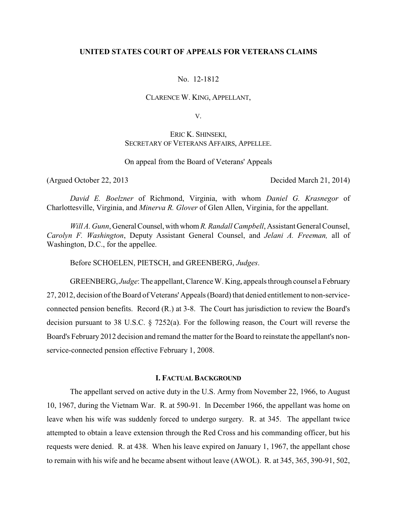## **UNITED STATES COURT OF APPEALS FOR VETERANS CLAIMS**

No. 12-1812

CLARENCE W. KING, APPELLANT,

V.

ERIC K. SHINSEKI, SECRETARY OF VETERANS AFFAIRS, APPELLEE.

On appeal from the Board of Veterans' Appeals

(Argued October 22, 2013 Decided March 21, 2014)

*David E. Boelzner* of Richmond, Virginia, with whom *Daniel G. Krasnegor* of Charlottesville, Virginia, and *Minerva R. Glover* of Glen Allen, Virginia, for the appellant.

*Will A. Gunn*, General Counsel,withwhom *R.Randall Campbell*, Assistant General Counsel, *Carolyn F. Washington*, Deputy Assistant General Counsel, and *Jelani A. Freeman,* all of Washington, D.C., for the appellee.

Before SCHOELEN, PIETSCH, and GREENBERG, *Judges*.

GREENBERG, *Judge*: The appellant, Clarence W. King, appeals through counsel a February 27, 2012, decision of the Board of Veterans' Appeals (Board) that denied entitlement to non-serviceconnected pension benefits. Record (R.) at 3-8. The Court has jurisdiction to review the Board's decision pursuant to 38 U.S.C. § 7252(a). For the following reason, the Court will reverse the Board's February 2012 decision and remand the matter for the Board to reinstate the appellant's nonservice-connected pension effective February 1, 2008.

# **I. FACTUAL BACKGROUND**

The appellant served on active duty in the U.S. Army from November 22, 1966, to August 10, 1967, during the Vietnam War. R. at 590-91. In December 1966, the appellant was home on leave when his wife was suddenly forced to undergo surgery. R. at 345. The appellant twice attempted to obtain a leave extension through the Red Cross and his commanding officer, but his requests were denied. R. at 438. When his leave expired on January 1, 1967, the appellant chose to remain with his wife and he became absent without leave (AWOL). R. at 345, 365, 390-91, 502,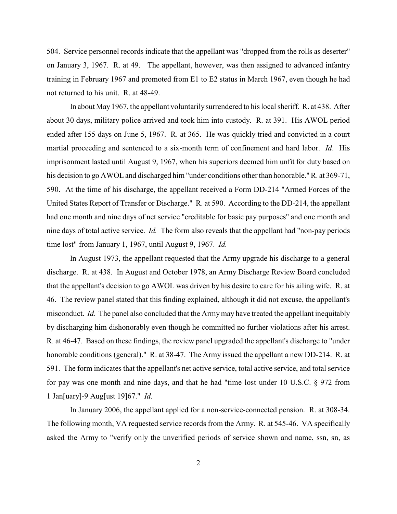504. Service personnel records indicate that the appellant was "dropped from the rolls as deserter" on January 3, 1967. R. at 49. The appellant, however, was then assigned to advanced infantry training in February 1967 and promoted from E1 to E2 status in March 1967, even though he had not returned to his unit. R. at 48-49.

In about May 1967, the appellant voluntarily surrendered to his local sheriff. R. at 438. After about 30 days, military police arrived and took him into custody. R. at 391. His AWOL period ended after 155 days on June 5, 1967. R. at 365. He was quickly tried and convicted in a court martial proceeding and sentenced to a six-month term of confinement and hard labor. *Id*. His imprisonment lasted until August 9, 1967, when his superiors deemed him unfit for duty based on his decision to go AWOLand discharged him "under conditions other than honorable." R. at 369-71, 590. At the time of his discharge, the appellant received a Form DD-214 "Armed Forces of the United States Report of Transfer or Discharge." R. at 590. According to the DD-214, the appellant had one month and nine days of net service "creditable for basic pay purposes" and one month and nine days of total active service. *Id.* The form also reveals that the appellant had "non-pay periods time lost" from January 1, 1967, until August 9, 1967. *Id.* 

In August 1973, the appellant requested that the Army upgrade his discharge to a general discharge. R. at 438. In August and October 1978, an Army Discharge Review Board concluded that the appellant's decision to go AWOL was driven by his desire to care for his ailing wife. R. at 46. The review panel stated that this finding explained, although it did not excuse, the appellant's misconduct. *Id.* The panel also concluded that the Armymay have treated the appellant inequitably by discharging him dishonorably even though he committed no further violations after his arrest. R. at 46-47. Based on these findings, the review panel upgraded the appellant's discharge to "under honorable conditions (general)." R. at 38-47. The Army issued the appellant a new DD-214. R. at 591. The form indicates that the appellant's net active service, total active service, and total service for pay was one month and nine days, and that he had "time lost under 10 U.S.C. § 972 from 1 Jan[uary]-9 Aug[ust 19]67." *Id.* 

In January 2006, the appellant applied for a non-service-connected pension. R. at 308-34. The following month, VA requested service records from the Army. R. at 545-46. VA specifically asked the Army to "verify only the unverified periods of service shown and name, ssn, sn, as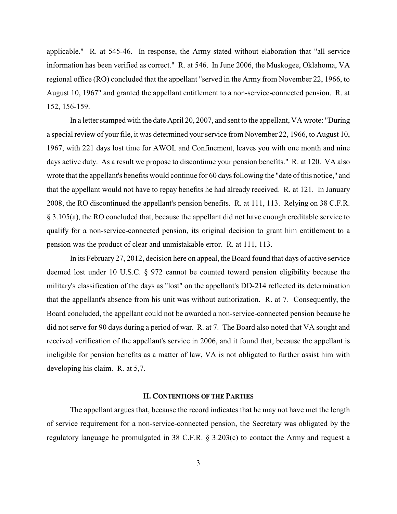applicable." R. at 545-46. In response, the Army stated without elaboration that "all service information has been verified as correct." R. at 546. In June 2006, the Muskogee, Oklahoma, VA regional office (RO) concluded that the appellant "served in the Army from November 22, 1966, to August 10, 1967" and granted the appellant entitlement to a non-service-connected pension. R. at 152, 156-159.

In a letter stamped with the date April 20, 2007, and sent to the appellant, VA wrote: "During a special review of your file, it was determined your service from November 22, 1966, to August 10, 1967, with 221 days lost time for AWOL and Confinement, leaves you with one month and nine days active duty. As a result we propose to discontinue your pension benefits." R. at 120. VA also wrote that the appellant's benefits would continue for 60 days following the "date of this notice," and that the appellant would not have to repay benefits he had already received. R. at 121. In January 2008, the RO discontinued the appellant's pension benefits. R. at 111, 113. Relying on 38 C.F.R. § 3.105(a), the RO concluded that, because the appellant did not have enough creditable service to qualify for a non-service-connected pension, its original decision to grant him entitlement to a pension was the product of clear and unmistakable error. R. at 111, 113.

In its February 27, 2012, decision here on appeal, the Board found that days of active service deemed lost under 10 U.S.C. § 972 cannot be counted toward pension eligibility because the military's classification of the days as "lost" on the appellant's DD-214 reflected its determination that the appellant's absence from his unit was without authorization. R. at 7. Consequently, the Board concluded, the appellant could not be awarded a non-service-connected pension because he did not serve for 90 days during a period of war. R. at 7. The Board also noted that VA sought and received verification of the appellant's service in 2006, and it found that, because the appellant is ineligible for pension benefits as a matter of law, VA is not obligated to further assist him with developing his claim. R. at 5,7.

### **II. CONTENTIONS OF THE PARTIES**

The appellant argues that, because the record indicates that he may not have met the length of service requirement for a non-service-connected pension, the Secretary was obligated by the regulatory language he promulgated in 38 C.F.R. § 3.203(c) to contact the Army and request a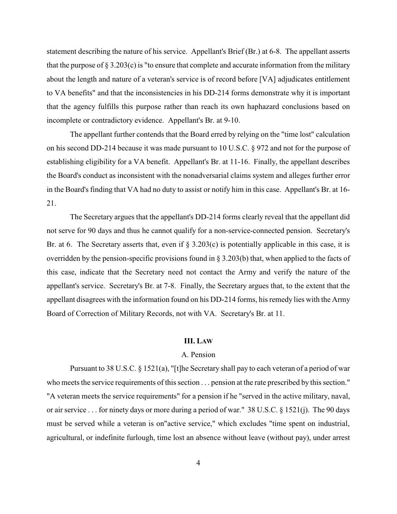statement describing the nature of his service. Appellant's Brief (Br.) at 6-8. The appellant asserts that the purpose of  $\S 3.203(c)$  is "to ensure that complete and accurate information from the military about the length and nature of a veteran's service is of record before [VA] adjudicates entitlement to VA benefits" and that the inconsistencies in his DD-214 forms demonstrate why it is important that the agency fulfills this purpose rather than reach its own haphazard conclusions based on incomplete or contradictory evidence. Appellant's Br. at 9-10.

The appellant further contends that the Board erred by relying on the "time lost" calculation on his second DD-214 because it was made pursuant to 10 U.S.C. § 972 and not for the purpose of establishing eligibility for a VA benefit. Appellant's Br. at 11-16. Finally, the appellant describes the Board's conduct as inconsistent with the nonadversarial claims system and alleges further error in the Board's finding that VA had no duty to assist or notify him in this case. Appellant's Br. at 16- 21.

The Secretary argues that the appellant's DD-214 forms clearly reveal that the appellant did not serve for 90 days and thus he cannot qualify for a non-service-connected pension. Secretary's Br. at 6. The Secretary asserts that, even if  $\S 3.203(c)$  is potentially applicable in this case, it is overridden by the pension-specific provisions found in  $\S 3.203(b)$  that, when applied to the facts of this case, indicate that the Secretary need not contact the Army and verify the nature of the appellant's service. Secretary's Br. at 7-8. Finally, the Secretary argues that, to the extent that the appellant disagrees with the information found on his DD-214 forms, his remedy lies with the Army Board of Correction of Military Records, not with VA. Secretary's Br. at 11.

#### **III. LAW**

# A. Pension

Pursuant to 38 U.S.C. § 1521(a), "[t]he Secretary shall pay to each veteran of a period of war who meets the service requirements of this section . . . pension at the rate prescribed by this section." "A veteran meets the service requirements" for a pension if he "served in the active military, naval, or air service . . . for ninety days or more during a period of war." 38 U.S.C. § 1521(j). The 90 days must be served while a veteran is on"active service," which excludes "time spent on industrial, agricultural, or indefinite furlough, time lost an absence without leave (without pay), under arrest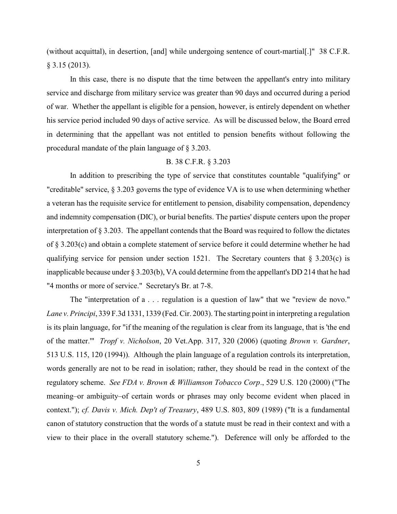(without acquittal), in desertion, [and] while undergoing sentence of court-martial[.]" 38 C.F.R. § 3.15 (2013).

In this case, there is no dispute that the time between the appellant's entry into military service and discharge from military service was greater than 90 days and occurred during a period of war. Whether the appellant is eligible for a pension, however, is entirely dependent on whether his service period included 90 days of active service. As will be discussed below, the Board erred in determining that the appellant was not entitled to pension benefits without following the procedural mandate of the plain language of § 3.203.

# B. 38 C.F.R. § 3.203

In addition to prescribing the type of service that constitutes countable "qualifying" or "creditable" service, § 3.203 governs the type of evidence VA is to use when determining whether a veteran has the requisite service for entitlement to pension, disability compensation, dependency and indemnity compensation (DIC), or burial benefits. The parties' dispute centers upon the proper interpretation of § 3.203. The appellant contends that the Board was required to follow the dictates of § 3.203(c) and obtain a complete statement of service before it could determine whether he had qualifying service for pension under section 1521. The Secretary counters that  $\S$  3.203(c) is inapplicable because under § 3.203(b), VA could determine from the appellant's DD 214 that he had "4 months or more of service." Secretary's Br. at 7-8.

The "interpretation of a . . . regulation is a question of law" that we "review de novo." *Lane v. Principi*, 339 F.3d 1331, 1339 (Fed. Cir. 2003). The starting point in interpreting a regulation is its plain language, for "if the meaning of the regulation is clear from its language, that is 'the end of the matter.'" *Tropf v. Nicholson*, 20 Vet.App. 317, 320 (2006) (quoting *Brown v. Gardner*, 513 U.S. 115, 120 (1994)). Although the plain language of a regulation controls its interpretation, words generally are not to be read in isolation; rather, they should be read in the context of the regulatory scheme. *See FDA v. Brown & Williamson Tobacco Corp*., 529 U.S. 120 (2000) ("The meaning–or ambiguity–of certain words or phrases may only become evident when placed in context."); *cf. Davis v. Mich. Dep't of Treasury*, 489 U.S. 803, 809 (1989) ("It is a fundamental canon of statutory construction that the words of a statute must be read in their context and with a view to their place in the overall statutory scheme."). Deference will only be afforded to the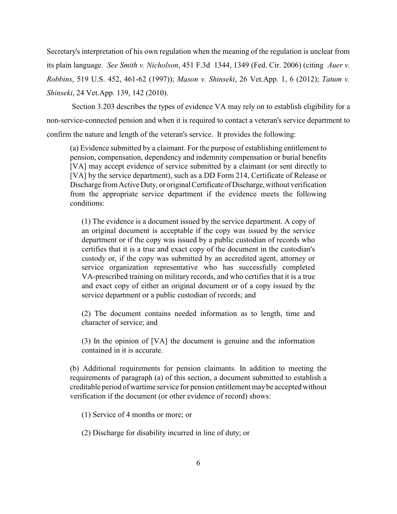Secretary's interpretation of his own regulation when the meaning of the regulation is unclear from its plain language. *See Smith v. Nicholson*, 451 F.3d 1344, 1349 (Fed. Cir. 2006) (citing *Auer v. Robbins*, 519 U.S. 452, 461-62 (1997)); *Mason v. Shinseki*, 26 Vet.App. 1, 6 (2012); *Tatum v. Shinseki*, 24 Vet.App. 139, 142 (2010).

 Section 3.203 describes the types of evidence VA may rely on to establish eligibility for a non-service-connected pension and when it is required to contact a veteran's service department to confirm the nature and length of the veteran's service. It provides the following:

(a) Evidence submitted by a claimant. For the purpose of establishing entitlement to pension, compensation, dependency and indemnity compensation or burial benefits [VA] may accept evidence of service submitted by a claimant (or sent directly to [VA] by the service department), such as a DD Form 214, Certificate of Release or Discharge from Active Duty, or original Certificate of Discharge, without verification from the appropriate service department if the evidence meets the following conditions:

(1) The evidence is a document issued by the service department. A copy of an original document is acceptable if the copy was issued by the service department or if the copy was issued by a public custodian of records who certifies that it is a true and exact copy of the document in the custodian's custody or, if the copy was submitted by an accredited agent, attorney or service organization representative who has successfully completed VA-prescribed training on military records, and who certifies that it is a true and exact copy of either an original document or of a copy issued by the service department or a public custodian of records; and

(2) The document contains needed information as to length, time and character of service; and

(3) In the opinion of [VA] the document is genuine and the information contained in it is accurate.

(b) Additional requirements for pension claimants. In addition to meeting the requirements of paragraph (a) of this section, a document submitted to establish a creditable period of wartime service for pension entitlement maybe accepted without verification if the document (or other evidence of record) shows:

(1) Service of 4 months or more; or

(2) Discharge for disability incurred in line of duty; or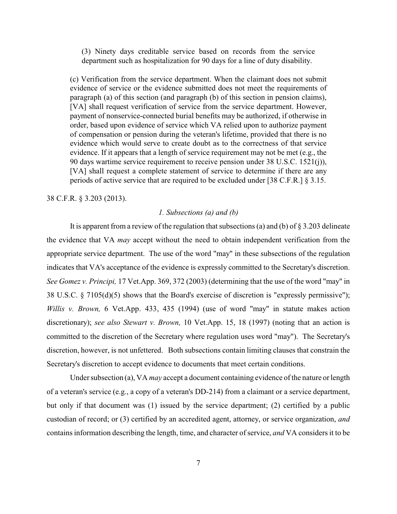(3) Ninety days creditable service based on records from the service department such as hospitalization for 90 days for a line of duty disability.

(c) Verification from the service department. When the claimant does not submit evidence of service or the evidence submitted does not meet the requirements of paragraph (a) of this section (and paragraph (b) of this section in pension claims), [VA] shall request verification of service from the service department. However, payment of nonservice-connected burial benefits may be authorized, if otherwise in order, based upon evidence of service which VA relied upon to authorize payment of compensation or pension during the veteran's lifetime, provided that there is no evidence which would serve to create doubt as to the correctness of that service evidence. If it appears that a length of service requirement may not be met (e.g., the 90 days wartime service requirement to receive pension under 38 U.S.C. 1521(j)), [VA] shall request a complete statement of service to determine if there are any periods of active service that are required to be excluded under [38 C.F.R.] § 3.15.

38 C.F.R. § 3.203 (2013).

#### *1. Subsections (a) and (b)*

It is apparent from a review of the regulation that subsections (a) and (b) of  $\S 3.203$  delineate the evidence that VA *may* accept without the need to obtain independent verification from the appropriate service department. The use of the word "may" in these subsections of the regulation indicates that VA's acceptance of the evidence is expressly committed to the Secretary's discretion. *See Gomez v. Principi,* 17 Vet.App. 369, 372 (2003) (determining that the use of the word "may" in 38 U.S.C. § 7105(d)(5) shows that the Board's exercise of discretion is "expressly permissive"); *Willis v. Brown,* 6 Vet.App. 433, 435 (1994) (use of word "may" in statute makes action discretionary); *see also Stewart v. Brown,* 10 Vet.App. 15, 18 (1997) (noting that an action is committed to the discretion of the Secretary where regulation uses word "may"). The Secretary's discretion, however, is not unfettered. Both subsections contain limiting clauses that constrain the Secretary's discretion to accept evidence to documents that meet certain conditions.

Under subsection (a), VA *may* accept a document containing evidence of the nature or length of a veteran's service (e.g., a copy of a veteran's DD-214) from a claimant or a service department, but only if that document was (1) issued by the service department; (2) certified by a public custodian of record; or (3) certified by an accredited agent, attorney, or service organization, *and* contains information describing the length, time, and character of service, *and* VA considers it to be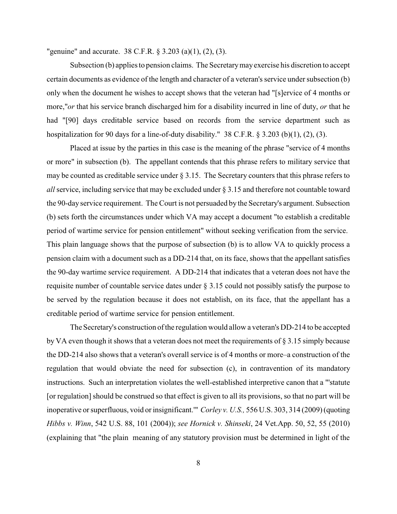"genuine" and accurate. 38 C.F.R. § 3.203 (a)(1), (2), (3).

Subsection (b) applies to pension claims. The Secretarymayexercise his discretion to accept certain documents as evidence of the length and character of a veteran's service under subsection (b) only when the document he wishes to accept shows that the veteran had "[s]ervice of 4 months or more,"*or* that his service branch discharged him for a disability incurred in line of duty, *or* that he had "[90] days creditable service based on records from the service department such as hospitalization for 90 days for a line-of-duty disability." 38 C.F.R. § 3.203 (b)(1), (2), (3).

Placed at issue by the parties in this case is the meaning of the phrase "service of 4 months or more" in subsection (b). The appellant contends that this phrase refers to military service that may be counted as creditable service under  $\S 3.15$ . The Secretary counters that this phrase refers to *all* service, including service that may be excluded under § 3.15 and therefore not countable toward the 90-day service requirement. The Court is not persuaded by the Secretary's argument. Subsection (b) sets forth the circumstances under which VA may accept a document "to establish a creditable period of wartime service for pension entitlement" without seeking verification from the service. This plain language shows that the purpose of subsection (b) is to allow VA to quickly process a pension claim with a document such as a DD-214 that, on its face, shows that the appellant satisfies the 90-day wartime service requirement. A DD-214 that indicates that a veteran does not have the requisite number of countable service dates under § 3.15 could not possibly satisfy the purpose to be served by the regulation because it does not establish, on its face, that the appellant has a creditable period of wartime service for pension entitlement.

The Secretary's construction of the regulation would allow a veteran's DD-214 to be accepted by VA even though it shows that a veteran does not meet the requirements of  $\S 3.15$  simply because the DD-214 also shows that a veteran's overall service is of 4 months or more–a construction of the regulation that would obviate the need for subsection (c), in contravention of its mandatory instructions. Such an interpretation violates the well-established interpretive canon that a "'statute [or regulation] should be construed so that effect is given to all its provisions, so that no part will be inoperative or superfluous, void or insignificant.'" *Corley v. U.S.,* 556 U.S. 303, 314 (2009) (quoting *Hibbs v. Winn*, 542 U.S. 88, 101 (2004)); *see Hornick v. Shinseki*, 24 Vet.App. 50, 52, 55 (2010) (explaining that "the plain meaning of any statutory provision must be determined in light of the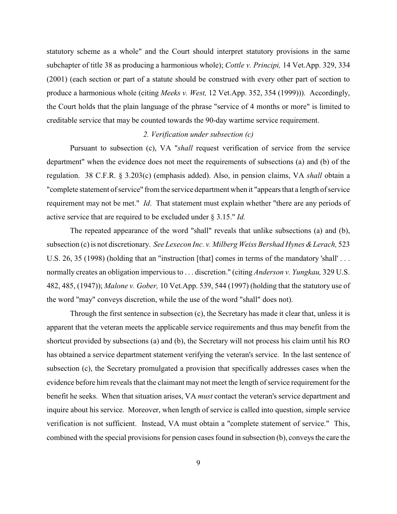statutory scheme as a whole" and the Court should interpret statutory provisions in the same subchapter of title 38 as producing a harmonious whole); *Cottle v. Principi,* 14 Vet.App. 329, 334 (2001) (each section or part of a statute should be construed with every other part of section to produce a harmonious whole (citing *Meeks v. West,* 12 Vet.App. 352, 354 (1999))). Accordingly, the Court holds that the plain language of the phrase "service of 4 months or more" is limited to creditable service that may be counted towards the 90-day wartime service requirement.

## *2. Verification under subsection (c)*

Pursuant to subsection (c), VA "*shall* request verification of service from the service department" when the evidence does not meet the requirements of subsections (a) and (b) of the regulation. 38 C.F.R. § 3.203(c) (emphasis added). Also, in pension claims, VA *shall* obtain a "complete statement of service" from the service department when it "appears that a length of service requirement may not be met." *Id*. That statement must explain whether "there are any periods of active service that are required to be excluded under § 3.15." *Id.* 

The repeated appearance of the word "shall" reveals that unlike subsections (a) and (b), subsection (c)is not discretionary. *See Lexecon Inc. v. Milberg Weiss Bershad Hynes &Lerach,* 523 U.S. 26, 35 (1998) (holding that an "instruction [that] comes in terms of the mandatory 'shall'... normally creates an obligation impervious to . . . discretion." (citing *Anderson v. Yungkau,* 329 U.S. 482, 485, (1947)); *Malone v. Gober,* 10 Vet.App. 539, 544 (1997) (holding that the statutory use of the word "may" conveys discretion, while the use of the word "shall" does not).

Through the first sentence in subsection (c), the Secretary has made it clear that, unless it is apparent that the veteran meets the applicable service requirements and thus may benefit from the shortcut provided by subsections (a) and (b), the Secretary will not process his claim until his RO has obtained a service department statement verifying the veteran's service. In the last sentence of subsection (c), the Secretary promulgated a provision that specifically addresses cases when the evidence before him reveals that the claimant may not meet the length of service requirement for the benefit he seeks. When that situation arises, VA *must* contact the veteran's service department and inquire about his service. Moreover, when length of service is called into question, simple service verification is not sufficient. Instead, VA must obtain a "complete statement of service." This, combined with the special provisions for pension cases found in subsection (b), conveys the care the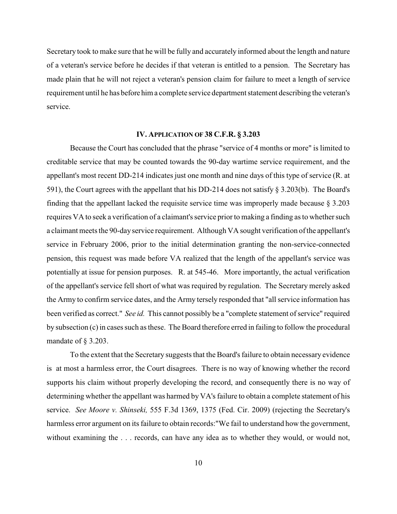Secretary took to make sure that he will be fully and accurately informed about the length and nature of a veteran's service before he decides if that veteran is entitled to a pension. The Secretary has made plain that he will not reject a veteran's pension claim for failure to meet a length of service requirement until he has before him a complete service department statement describing the veteran's service.

### **IV. APPLICATION OF 38 C.F.R. § 3.203**

Because the Court has concluded that the phrase "service of 4 months or more" is limited to creditable service that may be counted towards the 90-day wartime service requirement, and the appellant's most recent DD-214 indicates just one month and nine days of this type of service (R. at 591), the Court agrees with the appellant that his DD-214 does not satisfy § 3.203(b). The Board's finding that the appellant lacked the requisite service time was improperly made because § 3.203 requires VA to seek a verification of a claimant's service prior to making a finding as to whether such a claimant meets the 90-dayservice requirement. Although VA sought verification of the appellant's service in February 2006, prior to the initial determination granting the non-service-connected pension, this request was made before VA realized that the length of the appellant's service was potentially at issue for pension purposes. R. at 545-46. More importantly, the actual verification of the appellant's service fell short of what was required by regulation. The Secretary merely asked the Army to confirm service dates, and the Army tersely responded that "all service information has been verified as correct." *See id.* This cannot possibly be a "complete statement of service" required by subsection (c)in cases such as these. The Board therefore erred in failing to follow the procedural mandate of § 3.203.

To the extent that the Secretary suggests that the Board's failure to obtain necessary evidence is at most a harmless error, the Court disagrees. There is no way of knowing whether the record supports his claim without properly developing the record, and consequently there is no way of determining whether the appellant was harmed by VA's failure to obtain a complete statement of his service. *See Moore v. Shinseki,* 555 F.3d 1369, 1375 (Fed. Cir. 2009) (rejecting the Secretary's harmless error argument on its failure to obtain records:"We fail to understand how the government, without examining the . . . records, can have any idea as to whether they would, or would not,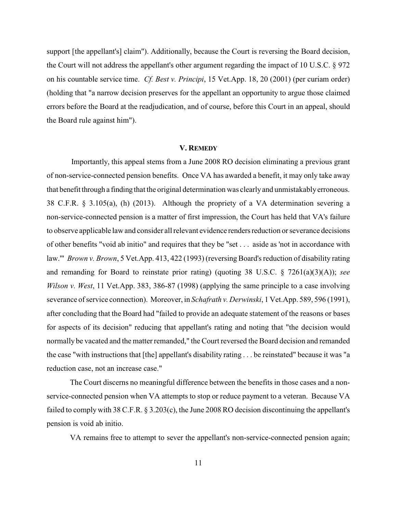support [the appellant's] claim"). Additionally, because the Court is reversing the Board decision, the Court will not address the appellant's other argument regarding the impact of 10 U.S.C. § 972 on his countable service time. *Cf. Best v. Principi*, 15 Vet.App. 18, 20 (2001) (per curiam order) (holding that "a narrow decision preserves for the appellant an opportunity to argue those claimed errors before the Board at the readjudication, and of course, before this Court in an appeal, should the Board rule against him").

#### **V. REMEDY**

 Importantly, this appeal stems from a June 2008 RO decision eliminating a previous grant of non-service-connected pension benefits. Once VA has awarded a benefit, it may only take away that benefit through a finding that the original determination was clearly and unmistakably erroneous. 38 C.F.R. § 3.105(a), (h) (2013). Although the propriety of a VA determination severing a non-service-connected pension is a matter of first impression, the Court has held that VA's failure to observe applicable law and consider all relevant evidence renders reduction or severance decisions of other benefits "void ab initio" and requires that they be "set . . . aside as 'not in accordance with law." *Brown v. Brown*, 5 Vet.App. 413, 422 (1993) (reversing Board's reduction of disability rating and remanding for Board to reinstate prior rating) (quoting 38 U.S.C. § 7261(a)(3)(A)); *see Wilson v. West*, 11 Vet.App. 383, 386-87 (1998) (applying the same principle to a case involving severance of service connection). Moreover, in *Schafrath v. Derwinski*, 1 Vet.App. 589, 596 (1991), after concluding that the Board had "failed to provide an adequate statement of the reasons or bases for aspects of its decision" reducing that appellant's rating and noting that "the decision would normally be vacated and the matter remanded," the Court reversed the Board decision and remanded the case "with instructions that [the] appellant's disability rating . . . be reinstated" because it was "a reduction case, not an increase case."

The Court discerns no meaningful difference between the benefits in those cases and a nonservice-connected pension when VA attempts to stop or reduce payment to a veteran. Because VA failed to comply with 38 C.F.R. § 3.203(c), the June 2008 RO decision discontinuing the appellant's pension is void ab initio.

VA remains free to attempt to sever the appellant's non-service-connected pension again;